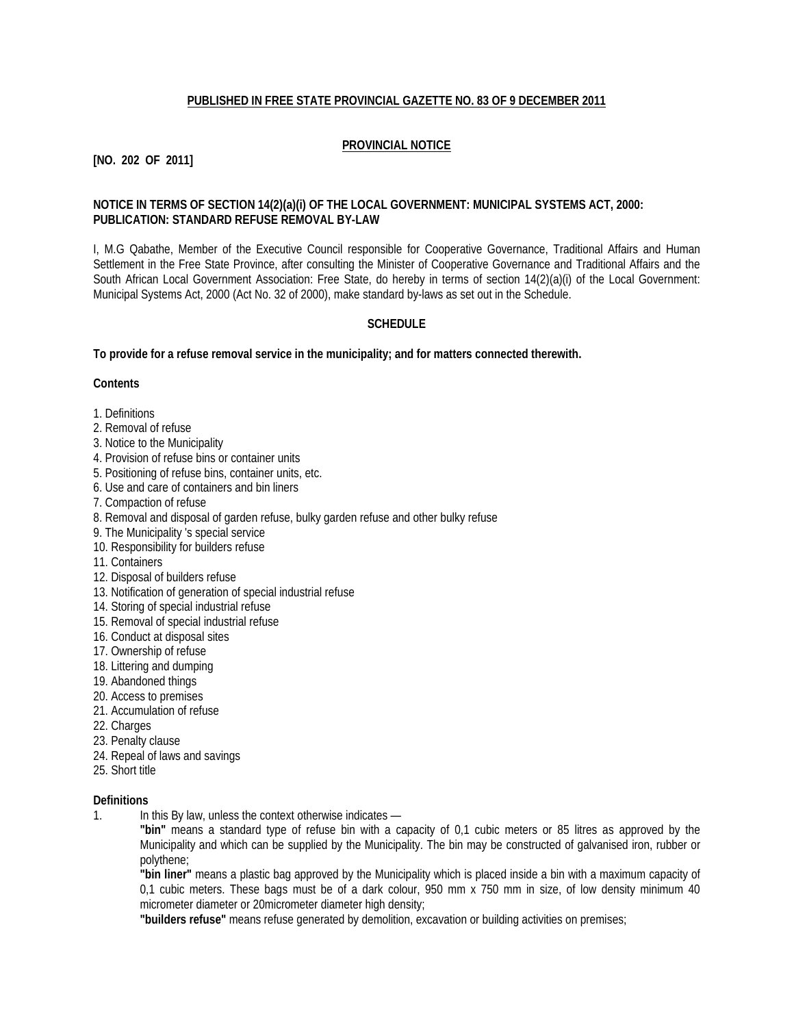### **PUBLISHED IN FREE STATE PROVINCIAL GAZETTE NO. 83 OF 9 DECEMBER 2011**

# **PROVINCIAL NOTICE**

**[NO. 202 OF 2011]**

### **NOTICE IN TERMS OF SECTION 14(2)(a)(i) OF THE LOCAL GOVERNMENT: MUNICIPAL SYSTEMS ACT, 2000: PUBLICATION: STANDARD REFUSE REMOVAL BY-LAW**

I, M.G Qabathe, Member of the Executive Council responsible for Cooperative Governance, Traditional Affairs and Human Settlement in the Free State Province, after consulting the Minister of Cooperative Governance and Traditional Affairs and the South African Local Government Association: Free State, do hereby in terms of section 14(2)(a)(i) of the Local Government: Municipal Systems Act, 2000 (Act No. 32 of 2000), make standard by-laws as set out in the Schedule.

# **SCHEDULE**

**To provide for a refuse removal service in the municipality; and for matters connected therewith.**

#### **Contents**

- 1. Definitions
- 2. Removal of refuse
- 3. Notice to the Municipality
- 4. Provision of refuse bins or container units
- 5. Positioning of refuse bins, container units, etc.
- 6. Use and care of containers and bin liners
- 7. Compaction of refuse
- 8. Removal and disposal of garden refuse, bulky garden refuse and other bulky refuse
- 9. The Municipality 's special service
- 10. Responsibility for builders refuse
- 11. Containers
- 12. Disposal of builders refuse
- 13. Notification of generation of special industrial refuse
- 14. Storing of special industrial refuse
- 15. Removal of special industrial refuse
- 16. Conduct at disposal sites
- 17. Ownership of refuse
- 18. Littering and dumping
- 19. Abandoned things
- 20. Access to premises
- 21. Accumulation of refuse
- 22. Charges
- 23. Penalty clause
- 24. Repeal of laws and savings
- 25. Short title

### **Definitions**

1. In this By law, unless the context otherwise indicates —

**"bin"** means a standard type of refuse bin with a capacity of 0,1 cubic meters or 85 litres as approved by the Municipality and which can be supplied by the Municipality. The bin may be constructed of galvanised iron, rubber or polythene;

**"bin liner"** means a plastic bag approved by the Municipality which is placed inside a bin with a maximum capacity of 0,1 cubic meters. These bags must be of a dark colour, 950 mm x 750 mm in size, of low density minimum 40 micrometer diameter or 20micrometer diameter high density;

**"builders refuse"** means refuse generated by demolition, excavation or building activities on premises;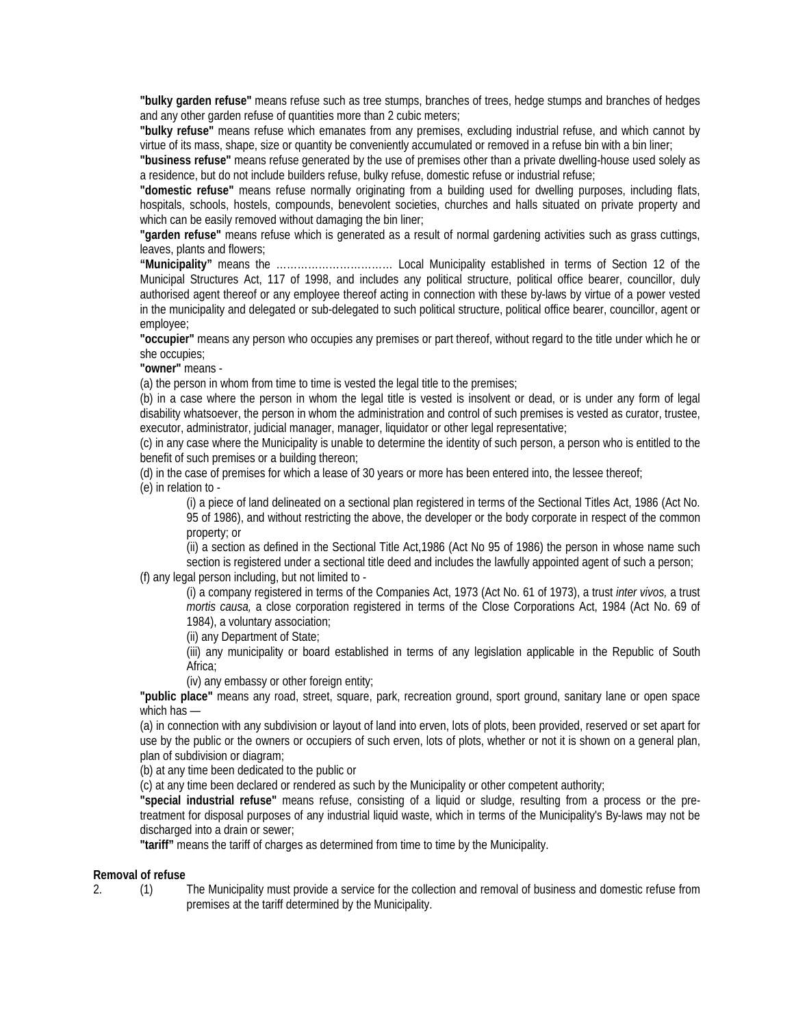**"bulky garden refuse"** means refuse such as tree stumps, branches of trees, hedge stumps and branches of hedges and any other garden refuse of quantities more than 2 cubic meters;

**"bulky refuse"** means refuse which emanates from any premises, excluding industrial refuse, and which cannot by virtue of its mass, shape, size or quantity be conveniently accumulated or removed in a refuse bin with a bin liner;

**"business refuse"** means refuse generated by the use of premises other than a private dwelling-house used solely as a residence, but do not include builders refuse, bulky refuse, domestic refuse or industrial refuse;

**"domestic refuse"** means refuse normally originating from a building used for dwelling purposes, including flats, hospitals, schools, hostels, compounds, benevolent societies, churches and halls situated on private property and which can be easily removed without damaging the bin liner;

**"garden refuse"** means refuse which is generated as a result of normal gardening activities such as grass cuttings, leaves, plants and flowers;

**"Municipality"** means the …………………………… Local Municipality established in terms of Section 12 of the Municipal Structures Act, 117 of 1998, and includes any political structure, political office bearer, councillor, duly authorised agent thereof or any employee thereof acting in connection with these by-laws by virtue of a power vested in the municipality and delegated or sub-delegated to such political structure, political office bearer, councillor, agent or employee;

**"occupier"** means any person who occupies any premises or part thereof, without regard to the title under which he or she occupies;

**"owner"** means -

(a) the person in whom from time to time is vested the legal title to the premises;

(b) in a case where the person in whom the legal title is vested is insolvent or dead, or is under any form of legal disability whatsoever, the person in whom the administration and control of such premises is vested as curator, trustee, executor, administrator, judicial manager, manager, liquidator or other legal representative;

(c) in any case where the Municipality is unable to determine the identity of such person, a person who is entitled to the benefit of such premises or a building thereon;

(d) in the case of premises for which a lease of 30 years or more has been entered into, the lessee thereof;

(e) in relation to -

(i) a piece of land delineated on a sectional plan registered in terms of the Sectional Titles Act, 1986 (Act No. 95 of 1986), and without restricting the above, the developer or the body corporate in respect of the common property; or

(ii) a section as defined in the Sectional Title Act,1986 (Act No 95 of 1986) the person in whose name such section is registered under a sectional title deed and includes the lawfully appointed agent of such a person; (f) any legal person including, but not limited to -

(i) a company registered in terms of the Companies Act, 1973 (Act No. 61 of 1973), a trust *inter vivos,* a trust *mortis causa,* a close corporation registered in terms of the Close Corporations Act, 1984 (Act No. 69 of 1984), a voluntary association;

(ii) any Department of State;

(iii) any municipality or board established in terms of any legislation applicable in the Republic of South Africa;

(iv) any embassy or other foreign entity;

**"public place"** means any road, street, square, park, recreation ground, sport ground, sanitary lane or open space which has —

(a) in connection with any subdivision or layout of land into erven, lots of plots, been provided, reserved or set apart for use by the public or the owners or occupiers of such erven, lots of plots, whether or not it is shown on a general plan, plan of subdivision or diagram;

(b) at any time been dedicated to the public or

(c) at any time been declared or rendered as such by the Municipality or other competent authority;

**"special industrial refuse"** means refuse, consisting of a liquid or sludge, resulting from a process or the pretreatment for disposal purposes of any industrial liquid waste, which in terms of the Municipality's By-laws may not be discharged into a drain or sewer;

**"tariff"** means the tariff of charges as determined from time to time by the Municipality.

#### **Removal of refuse**

2. (1) The Municipality must provide a service for the collection and removal of business and domestic refuse from premises at the tariff determined by the Municipality.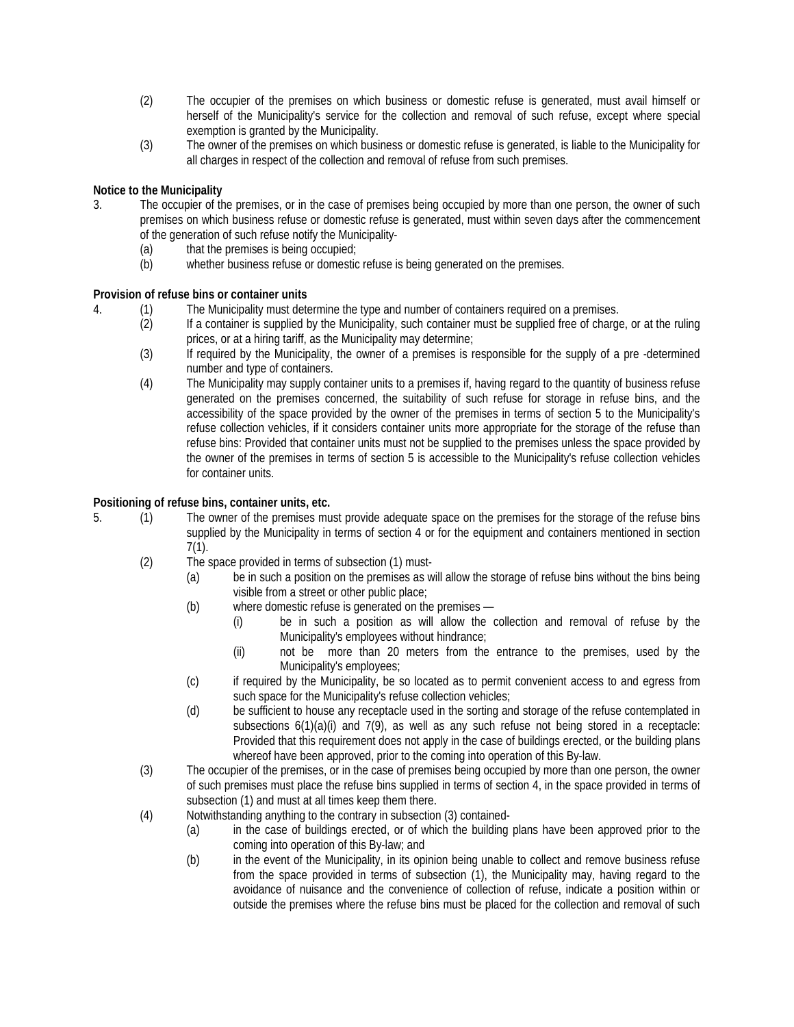- (2) The occupier of the premises on which business or domestic refuse is generated, must avail himself or herself of the Municipality's service for the collection and removal of such refuse, except where special exemption is granted by the Municipality.
- (3) The owner of the premises on which business or domestic refuse is generated, is liable to the Municipality for all charges in respect of the collection and removal of refuse from such premises.

# **Notice to the Municipality**

- 3. The occupier of the premises, or in the case of premises being occupied by more than one person, the owner of such premises on which business refuse or domestic refuse is generated, must within seven days after the commencement of the generation of such refuse notify the Municipality-
	- (a) that the premises is being occupied;
	- (b) whether business refuse or domestic refuse is being generated on the premises.

#### **Provision of refuse bins or container units**

- 4. (1) The Municipality must determine the type and number of containers required on a premises.
	- (2) If a container is supplied by the Municipality, such container must be supplied free of charge, or at the ruling prices, or at a hiring tariff, as the Municipality may determine;
	- (3) If required by the Municipality, the owner of a premises is responsible for the supply of a pre -determined number and type of containers.
	- (4) The Municipality may supply container units to a premises if, having regard to the quantity of business refuse generated on the premises concerned, the suitability of such refuse for storage in refuse bins, and the accessibility of the space provided by the owner of the premises in terms of section 5 to the Municipality's refuse collection vehicles, if it considers container units more appropriate for the storage of the refuse than refuse bins: Provided that container units must not be supplied to the premises unless the space provided by the owner of the premises in terms of section 5 is accessible to the Municipality's refuse collection vehicles for container units.

# **Positioning of refuse bins, container units, etc.**

- 5. (1) The owner of the premises must provide adequate space on the premises for the storage of the refuse bins supplied by the Municipality in terms of section 4 or for the equipment and containers mentioned in section 7(1).
	- (2) The space provided in terms of subsection (1) must-
		- (a) be in such a position on the premises as will allow the storage of refuse bins without the bins being visible from a street or other public place;
		- (b) where domestic refuse is generated on the premises
			- (i) be in such a position as will allow the collection and removal of refuse by the Municipality's employees without hindrance;
			- (ii) not be more than 20 meters from the entrance to the premises, used by the Municipality's employees;
		- (c) if required by the Municipality, be so located as to permit convenient access to and egress from such space for the Municipality's refuse collection vehicles;
		- (d) be sufficient to house any receptacle used in the sorting and storage of the refuse contemplated in subsections  $6(1)(a)(i)$  and  $7(9)$ , as well as any such refuse not being stored in a receptacle: Provided that this requirement does not apply in the case of buildings erected, or the building plans whereof have been approved, prior to the coming into operation of this By-law.
	- (3) The occupier of the premises, or in the case of premises being occupied by more than one person, the owner of such premises must place the refuse bins supplied in terms of section 4, in the space provided in terms of subsection (1) and must at all times keep them there.
	- (4) Notwithstanding anything to the contrary in subsection (3) contained-
		- (a) in the case of buildings erected, or of which the building plans have been approved prior to the coming into operation of this By-law; and
		- (b) in the event of the Municipality, in its opinion being unable to collect and remove business refuse from the space provided in terms of subsection (1), the Municipality may, having regard to the avoidance of nuisance and the convenience of collection of refuse, indicate a position within or outside the premises where the refuse bins must be placed for the collection and removal of such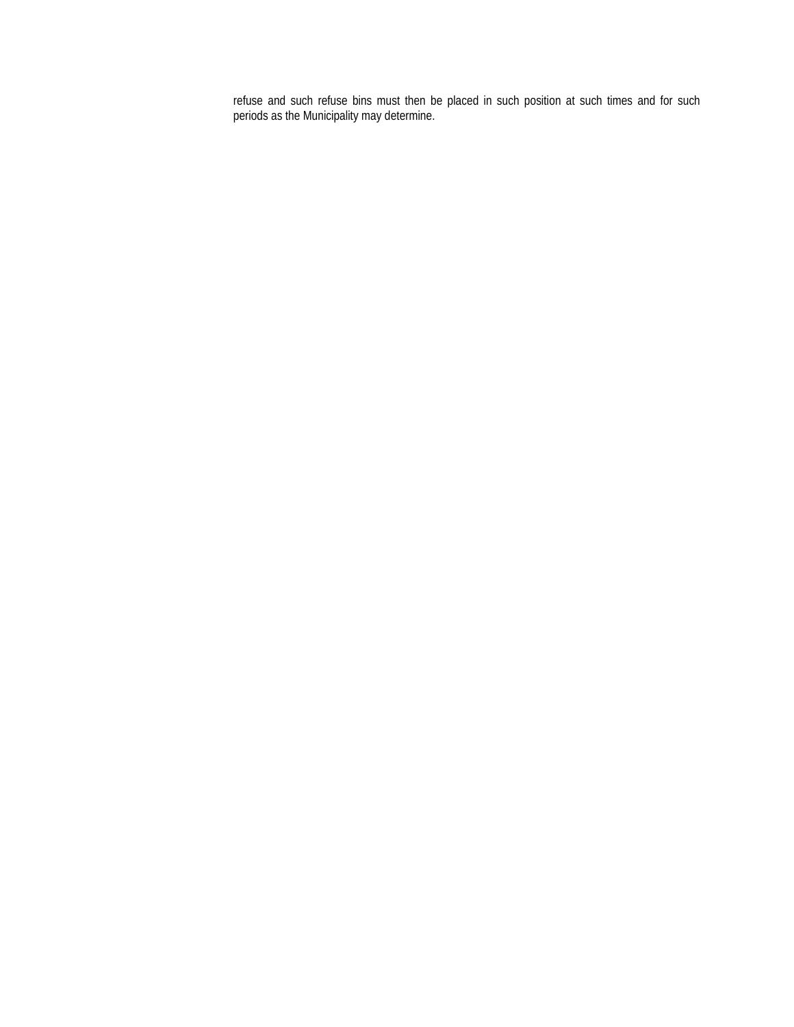refuse and such refuse bins must then be placed in such position at such times and for such periods as the Municipality may determine.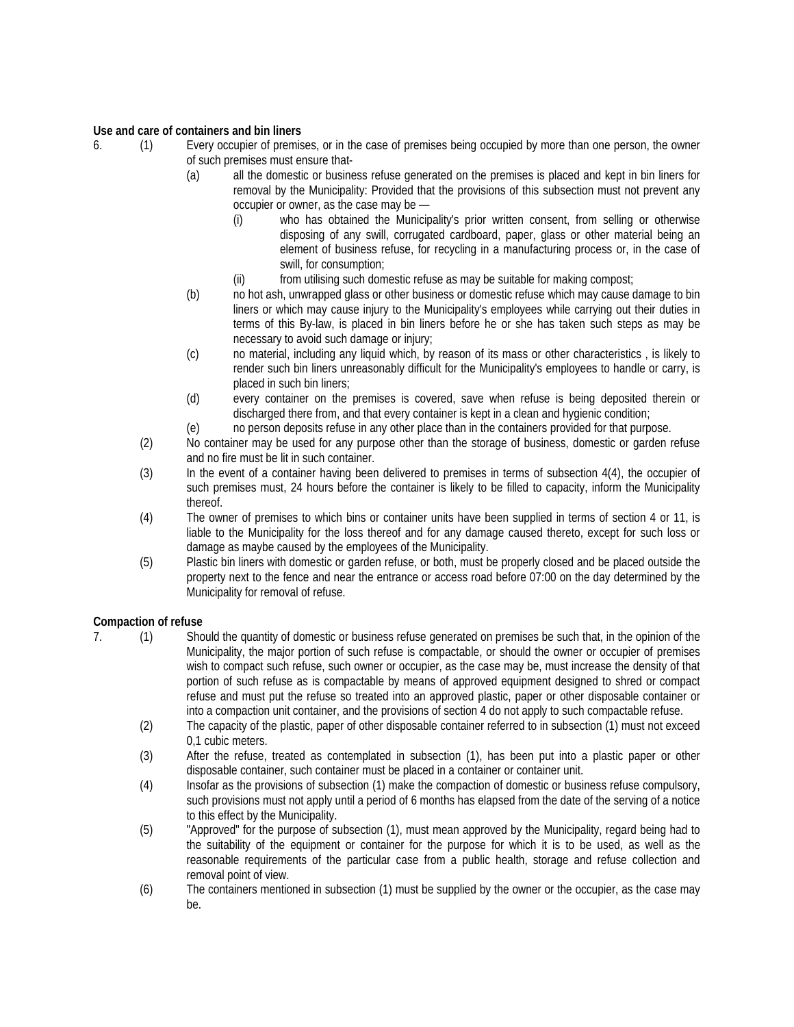### **Use and care of containers and bin liners**

- 6. (1) Every occupier of premises, or in the case of premises being occupied by more than one person, the owner of such premises must ensure that-
	- (a) all the domestic or business refuse generated on the premises is placed and kept in bin liners for removal by the Municipality: Provided that the provisions of this subsection must not prevent any occupier or owner, as the case may be —
		- (i) who has obtained the Municipality's prior written consent, from selling or otherwise disposing of any swill, corrugated cardboard, paper, glass or other material being an element of business refuse, for recycling in a manufacturing process or, in the case of swill, for consumption;
		- (ii) from utilising such domestic refuse as may be suitable for making compost;
	- (b) no hot ash, unwrapped glass or other business or domestic refuse which may cause damage to bin liners or which may cause injury to the Municipality's employees while carrying out their duties in terms of this By-law, is placed in bin liners before he or she has taken such steps as may be necessary to avoid such damage or injury;
	- (c) no material, including any liquid which, by reason of its mass or other characteristics , is likely to render such bin liners unreasonably difficult for the Municipality's employees to handle or carry, is placed in such bin liners;
	- (d) every container on the premises is covered, save when refuse is being deposited therein or discharged there from, and that every container is kept in a clean and hygienic condition;
	- (e) no person deposits refuse in any other place than in the containers provided for that purpose.
	- (2) No container may be used for any purpose other than the storage of business, domestic or garden refuse and no fire must be lit in such container.
	- (3) In the event of a container having been delivered to premises in terms of subsection 4(4), the occupier of such premises must, 24 hours before the container is likely to be filled to capacity, inform the Municipality thereof.
	- (4) The owner of premises to which bins or container units have been supplied in terms of section 4 or 11, is liable to the Municipality for the loss thereof and for any damage caused thereto, except for such loss or damage as maybe caused by the employees of the Municipality.
	- (5) Plastic bin liners with domestic or garden refuse, or both, must be properly closed and be placed outside the property next to the fence and near the entrance or access road before 07:00 on the day determined by the Municipality for removal of refuse.

#### **Compaction of refuse**

- 7. (1) Should the quantity of domestic or business refuse generated on premises be such that, in the opinion of the Municipality, the major portion of such refuse is compactable, or should the owner or occupier of premises wish to compact such refuse, such owner or occupier, as the case may be, must increase the density of that portion of such refuse as is compactable by means of approved equipment designed to shred or compact refuse and must put the refuse so treated into an approved plastic, paper or other disposable container or into a compaction unit container, and the provisions of section 4 do not apply to such compactable refuse.
	- (2) The capacity of the plastic, paper of other disposable container referred to in subsection (1) must not exceed 0,1 cubic meters.
	- (3) After the refuse, treated as contemplated in subsection (1), has been put into a plastic paper or other disposable container, such container must be placed in a container or container unit.
	- (4) Insofar as the provisions of subsection (1) make the compaction of domestic or business refuse compulsory, such provisions must not apply until a period of 6 months has elapsed from the date of the serving of a notice to this effect by the Municipality.
	- (5) "Approved" for the purpose of subsection (1), must mean approved by the Municipality, regard being had to the suitability of the equipment or container for the purpose for which it is to be used, as well as the reasonable requirements of the particular case from a public health, storage and refuse collection and removal point of view.
	- (6) The containers mentioned in subsection (1) must be supplied by the owner or the occupier, as the case may be.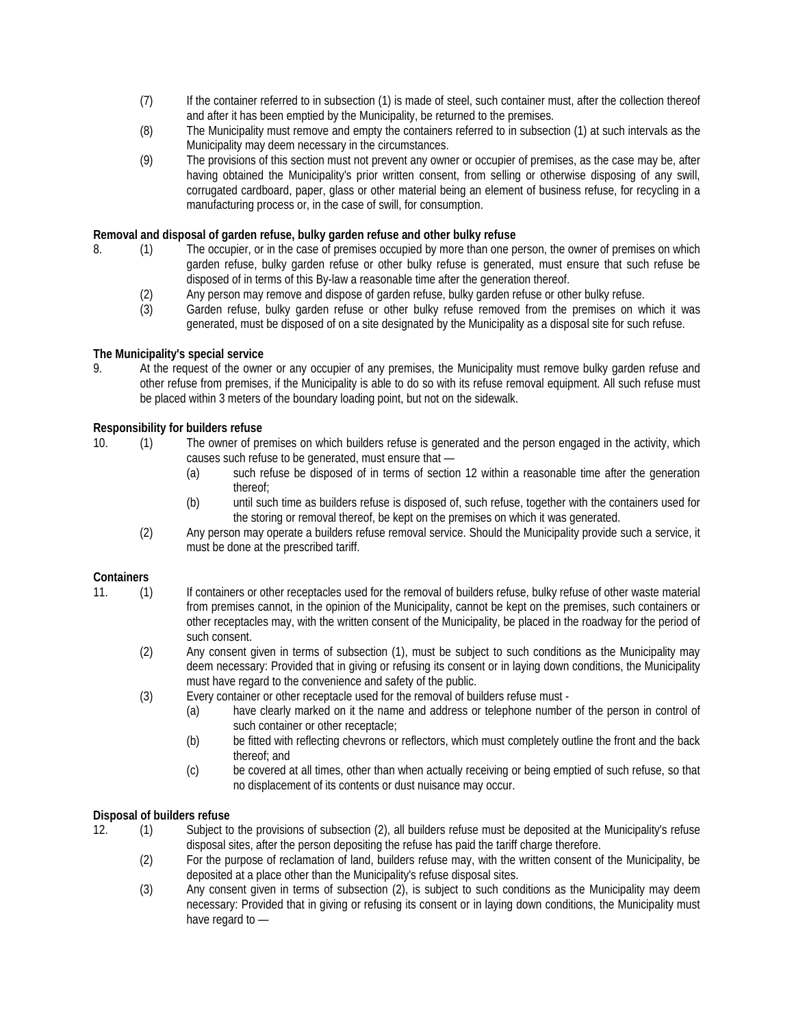- (7) If the container referred to in subsection (1) is made of steel, such container must, after the collection thereof and after it has been emptied by the Municipality, be returned to the premises.
- (8) The Municipality must remove and empty the containers referred to in subsection (1) at such intervals as the Municipality may deem necessary in the circumstances.
- (9) The provisions of this section must not prevent any owner or occupier of premises, as the case may be, after having obtained the Municipality's prior written consent, from selling or otherwise disposing of any swill, corrugated cardboard, paper, glass or other material being an element of business refuse, for recycling in a manufacturing process or, in the case of swill, for consumption.

# **Removal and disposal of garden refuse, bulky garden refuse and other bulky refuse**

- 8. (1) The occupier, or in the case of premises occupied by more than one person, the owner of premises on which garden refuse, bulky garden refuse or other bulky refuse is generated, must ensure that such refuse be disposed of in terms of this By-law a reasonable time after the generation thereof.
	- (2) Any person may remove and dispose of garden refuse, bulky garden refuse or other bulky refuse.<br>(3) Garden refuse, bulky garden refuse or other bulky refuse removed from the premises on w
	- Garden refuse, bulky garden refuse or other bulky refuse removed from the premises on which it was generated, must be disposed of on a site designated by the Municipality as a disposal site for such refuse.

# **The Municipality's special service**

9. At the request of the owner or any occupier of any premises, the Municipality must remove bulky garden refuse and other refuse from premises, if the Municipality is able to do so with its refuse removal equipment. All such refuse must be placed within 3 meters of the boundary loading point, but not on the sidewalk.

# **Responsibility for builders refuse**

- 10. (1) The owner of premises on which builders refuse is generated and the person engaged in the activity, which causes such refuse to be generated, must ensure that —
	- (a) such refuse be disposed of in terms of section 12 within a reasonable time after the generation thereof;
	- (b) until such time as builders refuse is disposed of, such refuse, together with the containers used for the storing or removal thereof, be kept on the premises on which it was generated.
	- (2) Any person may operate a builders refuse removal service. Should the Municipality provide such a service, it must be done at the prescribed tariff.

#### **Containers**

- 11. (1) If containers or other receptacles used for the removal of builders refuse, bulky refuse of other waste material from premises cannot, in the opinion of the Municipality, cannot be kept on the premises, such containers or other receptacles may, with the written consent of the Municipality, be placed in the roadway for the period of such consent.
	- (2) Any consent given in terms of subsection (1), must be subject to such conditions as the Municipality may deem necessary: Provided that in giving or refusing its consent or in laying down conditions, the Municipality must have regard to the convenience and safety of the public.
	- (3) Every container or other receptacle used for the removal of builders refuse must
		- (a) have clearly marked on it the name and address or telephone number of the person in control of such container or other receptacle;
		- (b) be fitted with reflecting chevrons or reflectors, which must completely outline the front and the back thereof; and
		- (c) be covered at all times, other than when actually receiving or being emptied of such refuse, so that no displacement of its contents or dust nuisance may occur.

#### **Disposal of builders refuse**

- 12. (1) Subject to the provisions of subsection (2), all builders refuse must be deposited at the Municipality's refuse disposal sites, after the person depositing the refuse has paid the tariff charge therefore.
	- (2) For the purpose of reclamation of land, builders refuse may, with the written consent of the Municipality, be deposited at a place other than the Municipality's refuse disposal sites.
	- (3) Any consent given in terms of subsection (2), is subject to such conditions as the Municipality may deem necessary: Provided that in giving or refusing its consent or in laying down conditions, the Municipality must have regard to —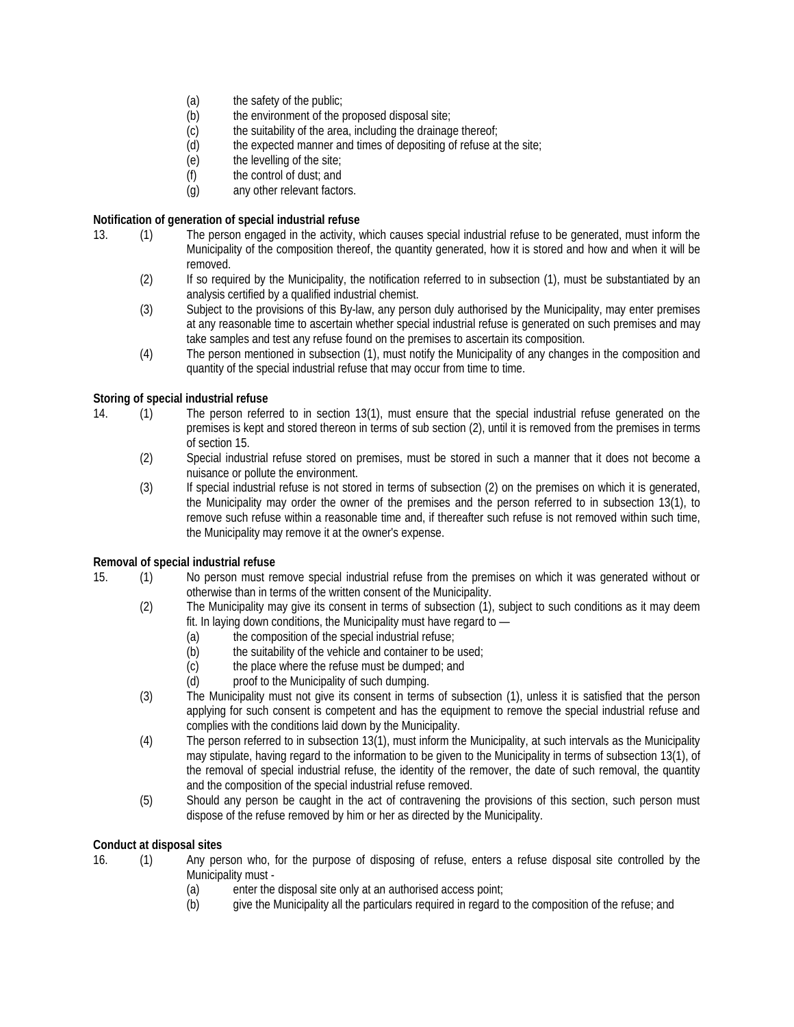- (a) the safety of the public;
- (b) the environment of the proposed disposal site;
- (c) the suitability of the area, including the drainage thereof;
- (d) the expected manner and times of depositing of refuse at the site;<br>(e) the levelling of the site;
- the levelling of the site;
- (f) the control of dust; and
- (g) any other relevant factors.

#### **Notification of generation of special industrial refuse**

- 13. (1) The person engaged in the activity, which causes special industrial refuse to be generated, must inform the Municipality of the composition thereof, the quantity generated, how it is stored and how and when it will be removed.
	- (2) If so required by the Municipality, the notification referred to in subsection (1), must be substantiated by an analysis certified by a qualified industrial chemist.
	- (3) Subject to the provisions of this By-law, any person duly authorised by the Municipality, may enter premises at any reasonable time to ascertain whether special industrial refuse is generated on such premises and may take samples and test any refuse found on the premises to ascertain its composition.
	- (4) The person mentioned in subsection (1), must notify the Municipality of any changes in the composition and quantity of the special industrial refuse that may occur from time to time.

# **Storing of special industrial refuse**

- 14. (1) The person referred to in section 13(1), must ensure that the special industrial refuse generated on the premises is kept and stored thereon in terms of sub section (2), until it is removed from the premises in terms of section 15.
	- (2) Special industrial refuse stored on premises, must be stored in such a manner that it does not become a nuisance or pollute the environment.
	- (3) If special industrial refuse is not stored in terms of subsection (2) on the premises on which it is generated, the Municipality may order the owner of the premises and the person referred to in subsection 13(1), to remove such refuse within a reasonable time and, if thereafter such refuse is not removed within such time, the Municipality may remove it at the owner's expense.

#### **Removal of special industrial refuse**

- 15. (1) No person must remove special industrial refuse from the premises on which it was generated without or otherwise than in terms of the written consent of the Municipality.
	- (2) The Municipality may give its consent in terms of subsection (1), subject to such conditions as it may deem fit. In laying down conditions, the Municipality must have regard to —
		- (a) the composition of the special industrial refuse;
		- (b) the suitability of the vehicle and container to be used;<br>(c) the place where the refuse must be dumped: and
		- the place where the refuse must be dumped; and
		- (d) proof to the Municipality of such dumping.
	- (3) The Municipality must not give its consent in terms of subsection (1), unless it is satisfied that the person applying for such consent is competent and has the equipment to remove the special industrial refuse and complies with the conditions laid down by the Municipality.
	- (4) The person referred to in subsection 13(1), must inform the Municipality, at such intervals as the Municipality may stipulate, having regard to the information to be given to the Municipality in terms of subsection 13(1), of the removal of special industrial refuse, the identity of the remover, the date of such removal, the quantity and the composition of the special industrial refuse removed.
	- (5) Should any person be caught in the act of contravening the provisions of this section, such person must dispose of the refuse removed by him or her as directed by the Municipality.

# **Conduct at disposal sites**

- 16. (1) Any person who, for the purpose of disposing of refuse, enters a refuse disposal site controlled by the Municipality must -
	- (a) enter the disposal site only at an authorised access point;
	- (b) give the Municipality all the particulars required in regard to the composition of the refuse; and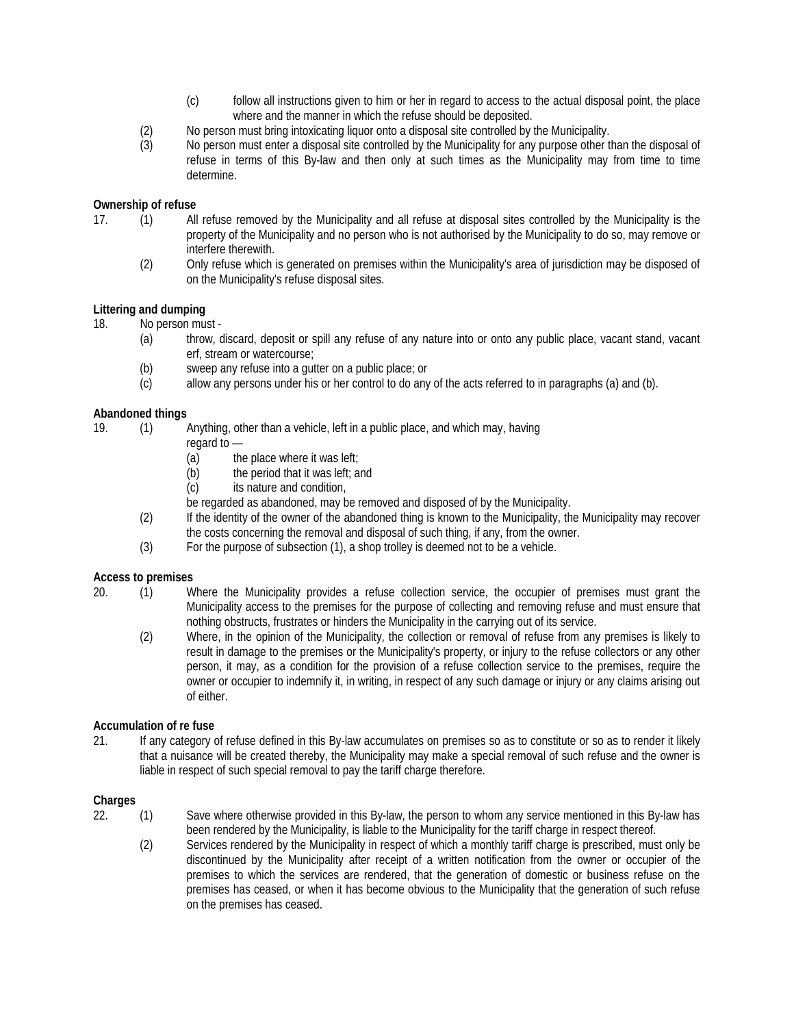- (c) follow all instructions given to him or her in regard to access to the actual disposal point, the place where and the manner in which the refuse should be deposited.
- (2) No person must bring intoxicating liquor onto a disposal site controlled by the Municipality.<br>(3) Obserson must enter a disposal site controlled by the Municipality for any purpose other t
- No person must enter a disposal site controlled by the Municipality for any purpose other than the disposal of refuse in terms of this By-law and then only at such times as the Municipality may from time to time determine.

# **Ownership of refuse**

- 17. (1) All refuse removed by the Municipality and all refuse at disposal sites controlled by the Municipality is the property of the Municipality and no person who is not authorised by the Municipality to do so, may remove or interfere therewith.
	- (2) Only refuse which is generated on premises within the Municipality's area of jurisdiction may be disposed of on the Municipality's refuse disposal sites.

# **Littering and dumping**

18. No person must -

- (a) throw, discard, deposit or spill any refuse of any nature into or onto any public place, vacant stand, vacant erf, stream or watercourse;
- (b) sweep any refuse into a gutter on a public place; or
- (c) allow any persons under his or her control to do any of the acts referred to in paragraphs (a) and (b).

# **Abandoned things**

19. (1) Anything, other than a vehicle, left in a public place, and which may, having

- regard to —
- $(a)$  the place where it was left;
- (b) the period that it was left; and
- (c) its nature and condition,
- be regarded as abandoned, may be removed and disposed of by the Municipality.
- (2) If the identity of the owner of the abandoned thing is known to the Municipality, the Municipality may recover the costs concerning the removal and disposal of such thing, if any, from the owner.
- (3) For the purpose of subsection (1), a shop trolley is deemed not to be a vehicle.

#### **Access to premises**

- 20. (1) Where the Municipality provides a refuse collection service, the occupier of premises must grant the Municipality access to the premises for the purpose of collecting and removing refuse and must ensure that nothing obstructs, frustrates or hinders the Municipality in the carrying out of its service.
	- (2) Where, in the opinion of the Municipality, the collection or removal of refuse from any premises is likely to result in damage to the premises or the Municipality's property, or injury to the refuse collectors or any other person, it may, as a condition for the provision of a refuse collection service to the premises, require the owner or occupier to indemnify it, in writing, in respect of any such damage or injury or any claims arising out of either.

#### **Accumulation of re fuse**

21. If any category of refuse defined in this By-law accumulates on premises so as to constitute or so as to render it likely that a nuisance will be created thereby, the Municipality may make a special removal of such refuse and the owner is liable in respect of such special removal to pay the tariff charge therefore.

#### **Charges**

- 22. (1) Save where otherwise provided in this By-law, the person to whom any service mentioned in this By-law has been rendered by the Municipality, is liable to the Municipality for the tariff charge in respect thereof.
	- (2) Services rendered by the Municipality in respect of which a monthly tariff charge is prescribed, must only be discontinued by the Municipality after receipt of a written notification from the owner or occupier of the premises to which the services are rendered, that the generation of domestic or business refuse on the premises has ceased, or when it has become obvious to the Municipality that the generation of such refuse on the premises has ceased.